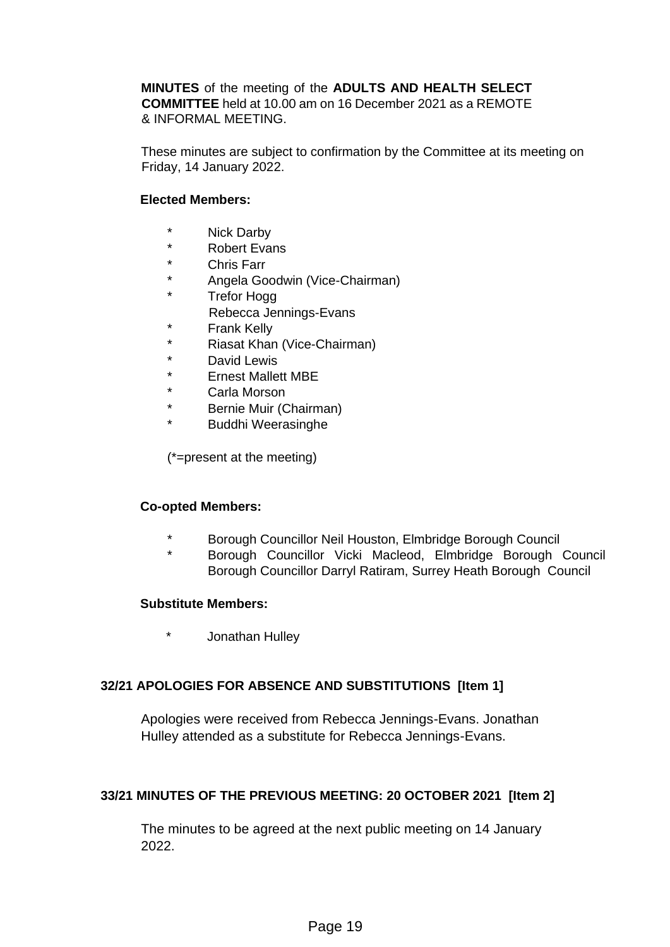**MINUTES** of the meeting of the **ADULTS AND HEALTH SELECT COMMITTEE** held at 10.00 am on 16 December 2021 as a REMOTE & INFORMAL MEETING.

These minutes are subject to confirmation by the Committee at its meeting on Friday, 14 January 2022.

#### **Elected Members:**

- \* Nick Darby
- \* Robert Evans
- Chris Farr
- \* Angela Goodwin (Vice-Chairman)
- \* Trefor Hogg
- Rebecca Jennings-Evans
- \* Frank Kelly
- \* Riasat Khan (Vice-Chairman)
- David Lewis
- \* Ernest Mallett MBE
- \* Carla Morson
- \* Bernie Muir (Chairman)
- \* Buddhi Weerasinghe

(\*=present at the meeting)

#### **Co-opted Members:**

- \* Borough Councillor Neil Houston, Elmbridge Borough Council
- Borough Councillor Vicki Macleod, Elmbridge Borough Council Borough Councillor Darryl Ratiram, Surrey Heath Borough Council

#### **Substitute Members:**

\* Jonathan Hulley

#### **32/21 APOLOGIES FOR ABSENCE AND SUBSTITUTIONS [Item 1]**

Apologies were received from Rebecca Jennings-Evans. Jonathan Hulley attended as a substitute for Rebecca Jennings-Evans.

#### **33/21 MINUTES OF THE PREVIOUS MEETING: 20 OCTOBER 2021 [Item 2]**

The minutes to be agreed at the next public meeting on 14 January 2022.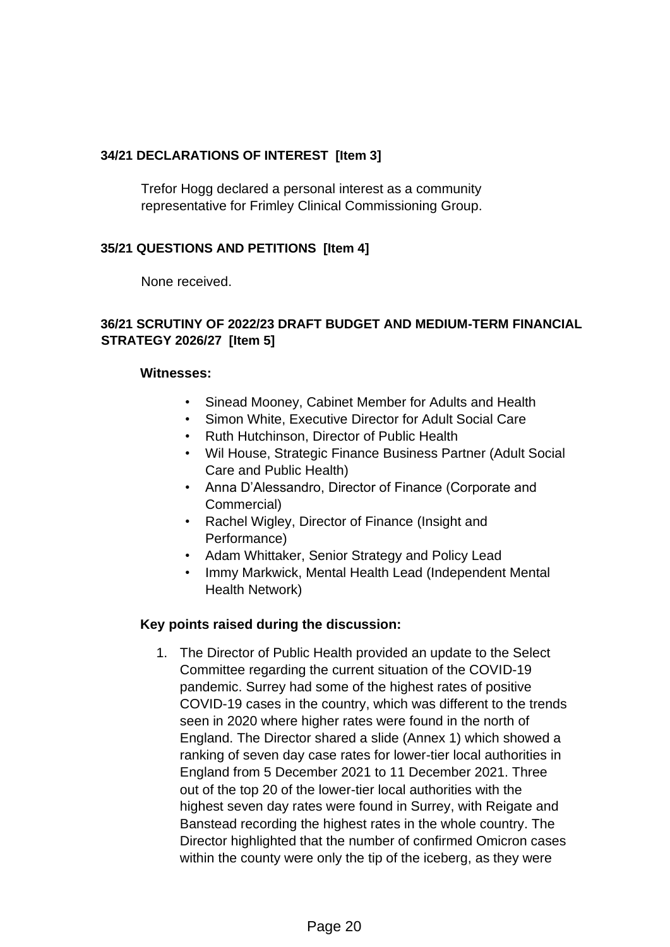## **34/21 DECLARATIONS OF INTEREST [Item 3]**

Trefor Hogg declared a personal interest as a community representative for Frimley Clinical Commissioning Group.

### **35/21 QUESTIONS AND PETITIONS [Item 4]**

None received.

### **36/21 SCRUTINY OF 2022/23 DRAFT BUDGET AND MEDIUM-TERM FINANCIAL STRATEGY 2026/27 [Item 5]**

#### **Witnesses:**

- Sinead Mooney, Cabinet Member for Adults and Health
- Simon White, Executive Director for Adult Social Care
- Ruth Hutchinson, Director of Public Health
- Wil House, Strategic Finance Business Partner (Adult Social Care and Public Health)
- Anna D'Alessandro, Director of Finance (Corporate and Commercial)
- Rachel Wigley, Director of Finance (Insight and Performance)
- Adam Whittaker, Senior Strategy and Policy Lead
- Immy Markwick, Mental Health Lead (Independent Mental Health Network)

#### **Key points raised during the discussion:**

1. The Director of Public Health provided an update to the Select Committee regarding the current situation of the COVID-19 pandemic. Surrey had some of the highest rates of positive COVID-19 cases in the country, which was different to the trends seen in 2020 where higher rates were found in the north of England. The Director shared a slide (Annex 1) which showed a ranking of seven day case rates for lower-tier local authorities in England from 5 December 2021 to 11 December 2021. Three out of the top 20 of the lower-tier local authorities with the highest seven day rates were found in Surrey, with Reigate and Banstead recording the highest rates in the whole country. The Director highlighted that the number of confirmed Omicron cases within the county were only the tip of the iceberg, as they were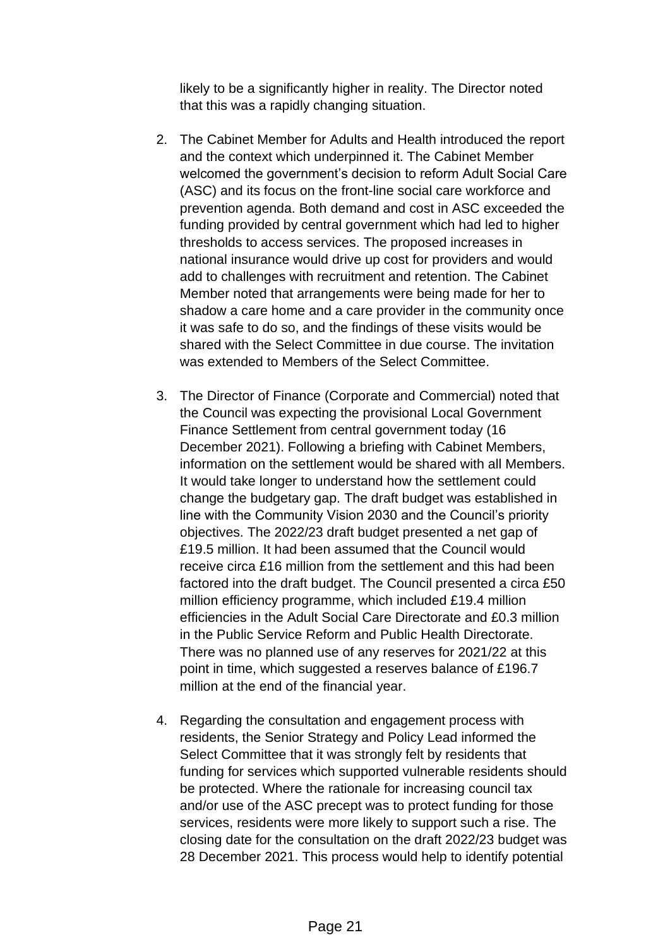likely to be a significantly higher in reality. The Director noted that this was a rapidly changing situation.

- 2. The Cabinet Member for Adults and Health introduced the report and the context which underpinned it. The Cabinet Member welcomed the government's decision to reform Adult Social Care (ASC) and its focus on the front-line social care workforce and prevention agenda. Both demand and cost in ASC exceeded the funding provided by central government which had led to higher thresholds to access services. The proposed increases in national insurance would drive up cost for providers and would add to challenges with recruitment and retention. The Cabinet Member noted that arrangements were being made for her to shadow a care home and a care provider in the community once it was safe to do so, and the findings of these visits would be shared with the Select Committee in due course. The invitation was extended to Members of the Select Committee.
- 3. The Director of Finance (Corporate and Commercial) noted that the Council was expecting the provisional Local Government Finance Settlement from central government today (16 December 2021). Following a briefing with Cabinet Members, information on the settlement would be shared with all Members. It would take longer to understand how the settlement could change the budgetary gap. The draft budget was established in line with the Community Vision 2030 and the Council's priority objectives. The 2022/23 draft budget presented a net gap of £19.5 million. It had been assumed that the Council would receive circa £16 million from the settlement and this had been factored into the draft budget. The Council presented a circa £50 million efficiency programme, which included £19.4 million efficiencies in the Adult Social Care Directorate and £0.3 million in the Public Service Reform and Public Health Directorate. There was no planned use of any reserves for 2021/22 at this point in time, which suggested a reserves balance of £196.7 million at the end of the financial year.
- 4. Regarding the consultation and engagement process with residents, the Senior Strategy and Policy Lead informed the Select Committee that it was strongly felt by residents that funding for services which supported vulnerable residents should be protected. Where the rationale for increasing council tax and/or use of the ASC precept was to protect funding for those services, residents were more likely to support such a rise. The closing date for the consultation on the draft 2022/23 budget was 28 December 2021. This process would help to identify potential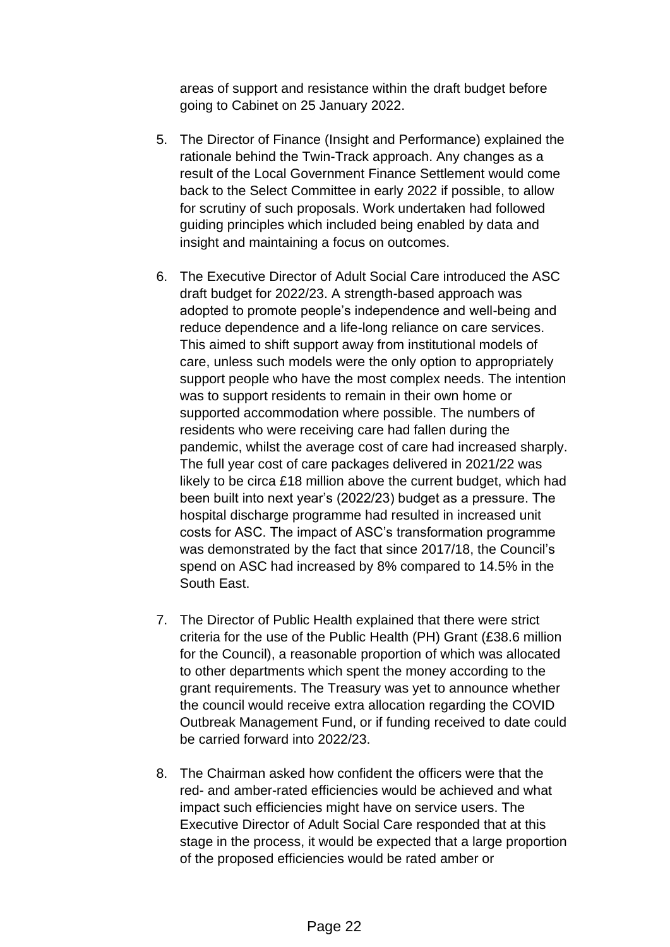areas of support and resistance within the draft budget before going to Cabinet on 25 January 2022.

- 5. The Director of Finance (Insight and Performance) explained the rationale behind the Twin-Track approach. Any changes as a result of the Local Government Finance Settlement would come back to the Select Committee in early 2022 if possible, to allow for scrutiny of such proposals. Work undertaken had followed guiding principles which included being enabled by data and insight and maintaining a focus on outcomes.
- 6. The Executive Director of Adult Social Care introduced the ASC draft budget for 2022/23. A strength-based approach was adopted to promote people's independence and well-being and reduce dependence and a life-long reliance on care services. This aimed to shift support away from institutional models of care, unless such models were the only option to appropriately support people who have the most complex needs. The intention was to support residents to remain in their own home or supported accommodation where possible. The numbers of residents who were receiving care had fallen during the pandemic, whilst the average cost of care had increased sharply. The full year cost of care packages delivered in 2021/22 was likely to be circa £18 million above the current budget, which had been built into next year's (2022/23) budget as a pressure. The hospital discharge programme had resulted in increased unit costs for ASC. The impact of ASC's transformation programme was demonstrated by the fact that since 2017/18, the Council's spend on ASC had increased by 8% compared to 14.5% in the South East.
- 7. The Director of Public Health explained that there were strict criteria for the use of the Public Health (PH) Grant (£38.6 million for the Council), a reasonable proportion of which was allocated to other departments which spent the money according to the grant requirements. The Treasury was yet to announce whether the council would receive extra allocation regarding the COVID Outbreak Management Fund, or if funding received to date could be carried forward into 2022/23.
- 8. The Chairman asked how confident the officers were that the red- and amber-rated efficiencies would be achieved and what impact such efficiencies might have on service users. The Executive Director of Adult Social Care responded that at this stage in the process, it would be expected that a large proportion of the proposed efficiencies would be rated amber or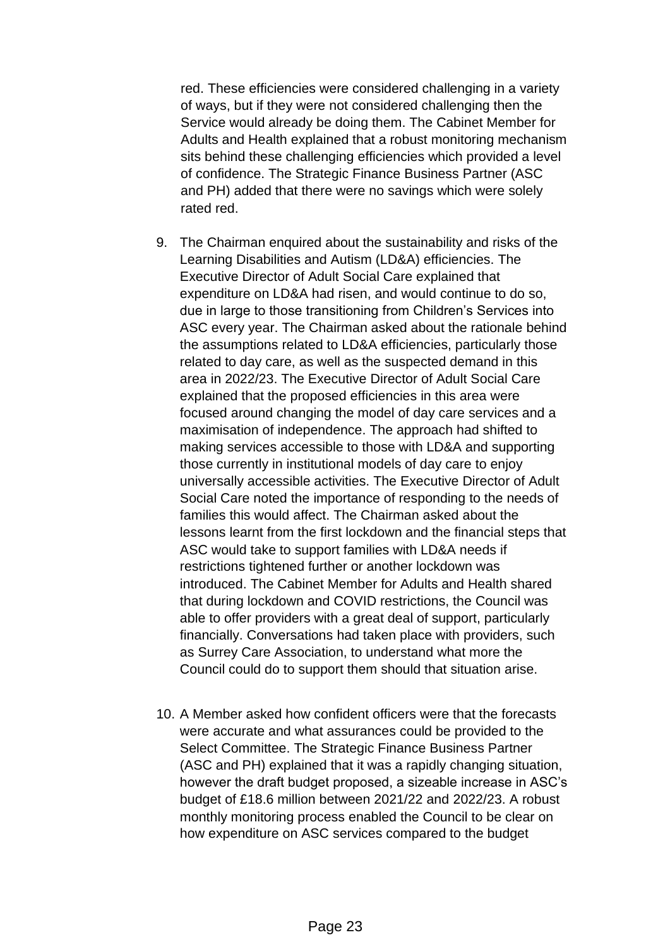red. These efficiencies were considered challenging in a variety of ways, but if they were not considered challenging then the Service would already be doing them. The Cabinet Member for Adults and Health explained that a robust monitoring mechanism sits behind these challenging efficiencies which provided a level of confidence. The Strategic Finance Business Partner (ASC and PH) added that there were no savings which were solely rated red.

- 9. The Chairman enquired about the sustainability and risks of the Learning Disabilities and Autism (LD&A) efficiencies. The Executive Director of Adult Social Care explained that expenditure on LD&A had risen, and would continue to do so, due in large to those transitioning from Children's Services into ASC every year. The Chairman asked about the rationale behind the assumptions related to LD&A efficiencies, particularly those related to day care, as well as the suspected demand in this area in 2022/23. The Executive Director of Adult Social Care explained that the proposed efficiencies in this area were focused around changing the model of day care services and a maximisation of independence. The approach had shifted to making services accessible to those with LD&A and supporting those currently in institutional models of day care to enjoy universally accessible activities. The Executive Director of Adult Social Care noted the importance of responding to the needs of families this would affect. The Chairman asked about the lessons learnt from the first lockdown and the financial steps that ASC would take to support families with LD&A needs if restrictions tightened further or another lockdown was introduced. The Cabinet Member for Adults and Health shared that during lockdown and COVID restrictions, the Council was able to offer providers with a great deal of support, particularly financially. Conversations had taken place with providers, such as Surrey Care Association, to understand what more the Council could do to support them should that situation arise.
- 10. A Member asked how confident officers were that the forecasts were accurate and what assurances could be provided to the Select Committee. The Strategic Finance Business Partner (ASC and PH) explained that it was a rapidly changing situation, however the draft budget proposed, a sizeable increase in ASC's budget of £18.6 million between 2021/22 and 2022/23. A robust monthly monitoring process enabled the Council to be clear on how expenditure on ASC services compared to the budget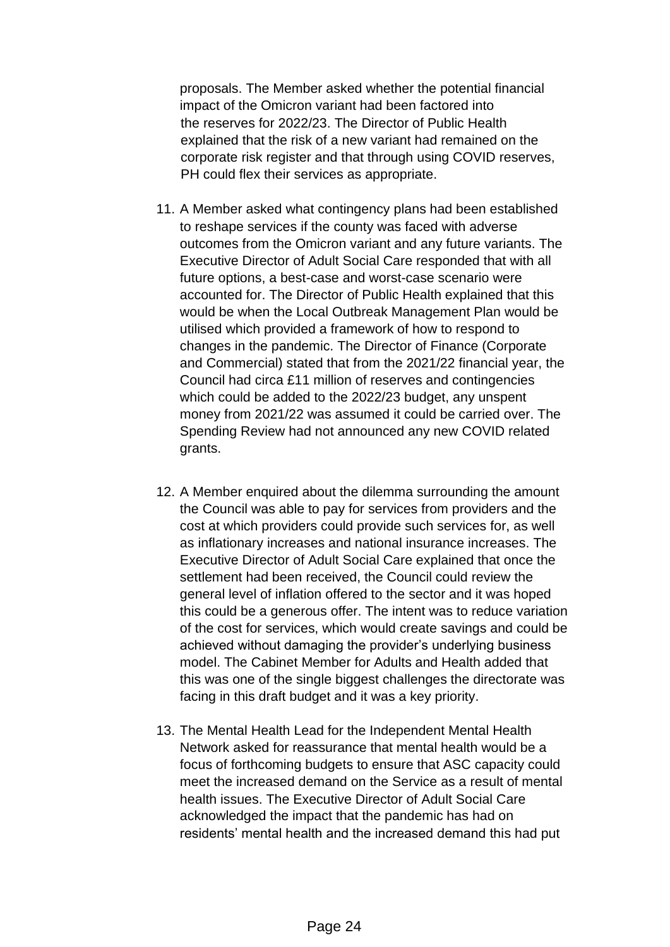proposals. The Member asked whether the potential financial impact of the Omicron variant had been factored into the reserves for 2022/23. The Director of Public Health explained that the risk of a new variant had remained on the corporate risk register and that through using COVID reserves, PH could flex their services as appropriate.

- 11. A Member asked what contingency plans had been established to reshape services if the county was faced with adverse outcomes from the Omicron variant and any future variants. The Executive Director of Adult Social Care responded that with all future options, a best-case and worst-case scenario were accounted for. The Director of Public Health explained that this would be when the Local Outbreak Management Plan would be utilised which provided a framework of how to respond to changes in the pandemic. The Director of Finance (Corporate and Commercial) stated that from the 2021/22 financial year, the Council had circa £11 million of reserves and contingencies which could be added to the 2022/23 budget, any unspent money from 2021/22 was assumed it could be carried over. The Spending Review had not announced any new COVID related grants.
- 12. A Member enquired about the dilemma surrounding the amount the Council was able to pay for services from providers and the cost at which providers could provide such services for, as well as inflationary increases and national insurance increases. The Executive Director of Adult Social Care explained that once the settlement had been received, the Council could review the general level of inflation offered to the sector and it was hoped this could be a generous offer. The intent was to reduce variation of the cost for services, which would create savings and could be achieved without damaging the provider's underlying business model. The Cabinet Member for Adults and Health added that this was one of the single biggest challenges the directorate was facing in this draft budget and it was a key priority.
- 13. The Mental Health Lead for the Independent Mental Health Network asked for reassurance that mental health would be a focus of forthcoming budgets to ensure that ASC capacity could meet the increased demand on the Service as a result of mental health issues. The Executive Director of Adult Social Care acknowledged the impact that the pandemic has had on residents' mental health and the increased demand this had put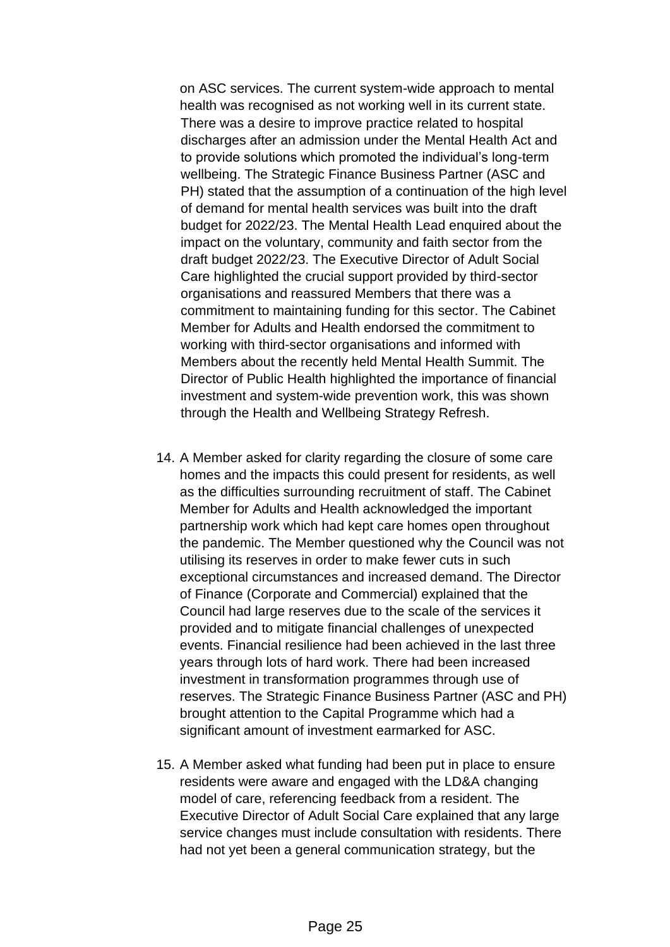on ASC services. The current system-wide approach to mental health was recognised as not working well in its current state. There was a desire to improve practice related to hospital discharges after an admission under the Mental Health Act and to provide solutions which promoted the individual's long-term wellbeing. The Strategic Finance Business Partner (ASC and PH) stated that the assumption of a continuation of the high level of demand for mental health services was built into the draft budget for 2022/23. The Mental Health Lead enquired about the impact on the voluntary, community and faith sector from the draft budget 2022/23. The Executive Director of Adult Social Care highlighted the crucial support provided by third-sector organisations and reassured Members that there was a commitment to maintaining funding for this sector. The Cabinet Member for Adults and Health endorsed the commitment to working with third-sector organisations and informed with Members about the recently held Mental Health Summit. The Director of Public Health highlighted the importance of financial investment and system-wide prevention work, this was shown through the Health and Wellbeing Strategy Refresh.

- 14. A Member asked for clarity regarding the closure of some care homes and the impacts this could present for residents, as well as the difficulties surrounding recruitment of staff. The Cabinet Member for Adults and Health acknowledged the important partnership work which had kept care homes open throughout the pandemic. The Member questioned why the Council was not utilising its reserves in order to make fewer cuts in such exceptional circumstances and increased demand. The Director of Finance (Corporate and Commercial) explained that the Council had large reserves due to the scale of the services it provided and to mitigate financial challenges of unexpected events. Financial resilience had been achieved in the last three years through lots of hard work. There had been increased investment in transformation programmes through use of reserves. The Strategic Finance Business Partner (ASC and PH) brought attention to the Capital Programme which had a significant amount of investment earmarked for ASC.
- 15. A Member asked what funding had been put in place to ensure residents were aware and engaged with the LD&A changing model of care, referencing feedback from a resident. The Executive Director of Adult Social Care explained that any large service changes must include consultation with residents. There had not yet been a general communication strategy, but the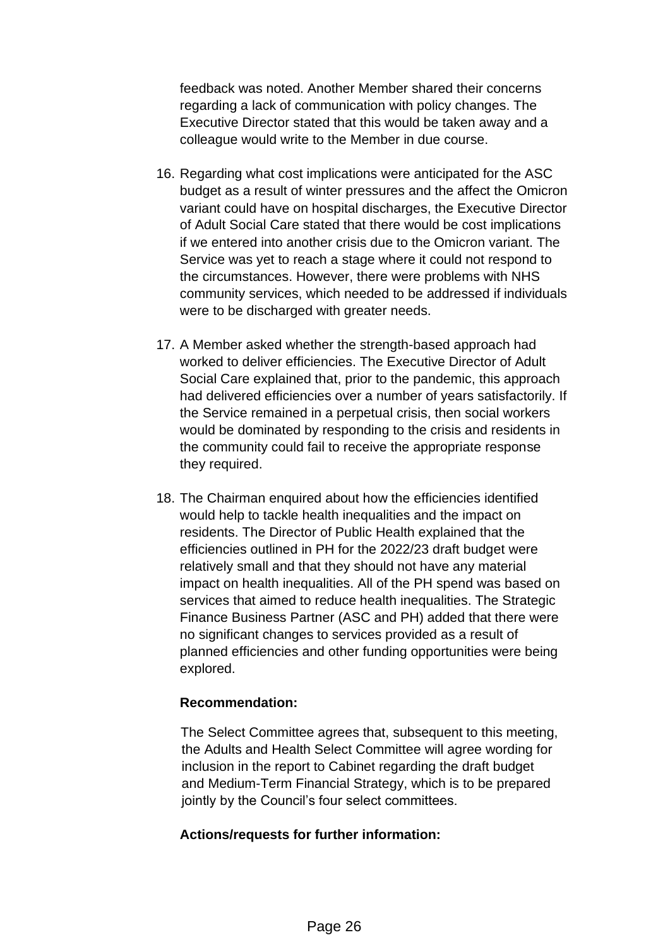feedback was noted. Another Member shared their concerns regarding a lack of communication with policy changes. The Executive Director stated that this would be taken away and a colleague would write to the Member in due course.

- 16. Regarding what cost implications were anticipated for the ASC budget as a result of winter pressures and the affect the Omicron variant could have on hospital discharges, the Executive Director of Adult Social Care stated that there would be cost implications if we entered into another crisis due to the Omicron variant. The Service was yet to reach a stage where it could not respond to the circumstances. However, there were problems with NHS community services, which needed to be addressed if individuals were to be discharged with greater needs.
- 17. A Member asked whether the strength-based approach had worked to deliver efficiencies. The Executive Director of Adult Social Care explained that, prior to the pandemic, this approach had delivered efficiencies over a number of years satisfactorily. If the Service remained in a perpetual crisis, then social workers would be dominated by responding to the crisis and residents in the community could fail to receive the appropriate response they required.
- 18. The Chairman enquired about how the efficiencies identified would help to tackle health inequalities and the impact on residents. The Director of Public Health explained that the efficiencies outlined in PH for the 2022/23 draft budget were relatively small and that they should not have any material impact on health inequalities. All of the PH spend was based on services that aimed to reduce health inequalities. The Strategic Finance Business Partner (ASC and PH) added that there were no significant changes to services provided as a result of planned efficiencies and other funding opportunities were being explored.

#### **Recommendation:**

The Select Committee agrees that, subsequent to this meeting, the Adults and Health Select Committee will agree wording for inclusion in the report to Cabinet regarding the draft budget and Medium-Term Financial Strategy, which is to be prepared jointly by the Council's four select committees.

#### **Actions/requests for further information:**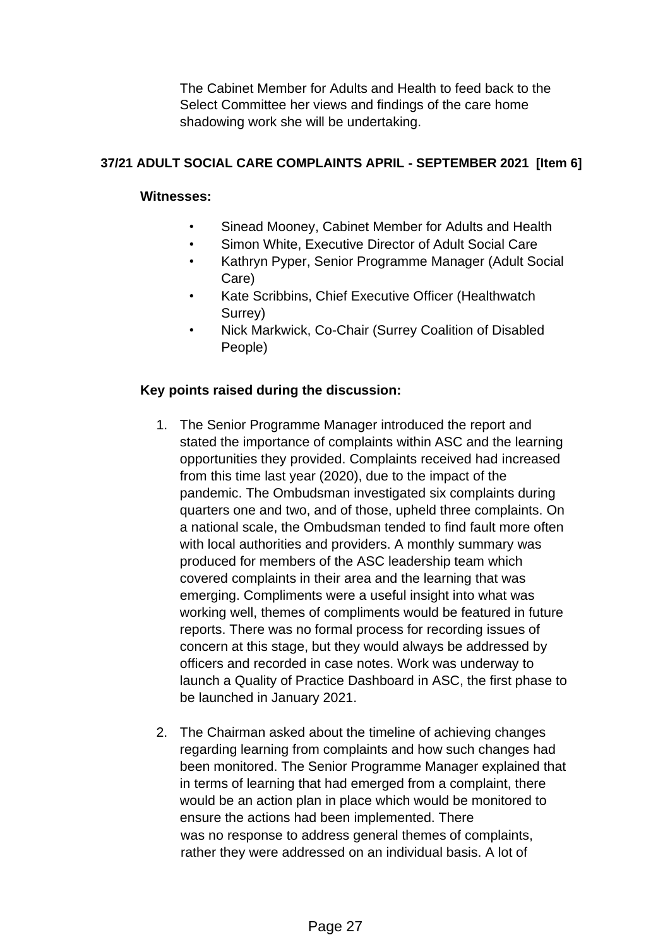The Cabinet Member for Adults and Health to feed back to the Select Committee her views and findings of the care home shadowing work she will be undertaking.

# **37/21 ADULT SOCIAL CARE COMPLAINTS APRIL - SEPTEMBER 2021 [Item 6]**

## **Witnesses:**

- Sinead Mooney, Cabinet Member for Adults and Health
- Simon White, Executive Director of Adult Social Care
- Kathryn Pyper, Senior Programme Manager (Adult Social Care)
- Kate Scribbins, Chief Executive Officer (Healthwatch Surrey)
- Nick Markwick, Co-Chair (Surrey Coalition of Disabled People)

# **Key points raised during the discussion:**

- 1. The Senior Programme Manager introduced the report and stated the importance of complaints within ASC and the learning opportunities they provided. Complaints received had increased from this time last year (2020), due to the impact of the pandemic. The Ombudsman investigated six complaints during quarters one and two, and of those, upheld three complaints. On a national scale, the Ombudsman tended to find fault more often with local authorities and providers. A monthly summary was produced for members of the ASC leadership team which covered complaints in their area and the learning that was emerging. Compliments were a useful insight into what was working well, themes of compliments would be featured in future reports. There was no formal process for recording issues of concern at this stage, but they would always be addressed by officers and recorded in case notes. Work was underway to launch a Quality of Practice Dashboard in ASC, the first phase to be launched in January 2021.
- 2. The Chairman asked about the timeline of achieving changes regarding learning from complaints and how such changes had been monitored. The Senior Programme Manager explained that in terms of learning that had emerged from a complaint, there would be an action plan in place which would be monitored to ensure the actions had been implemented. There was no response to address general themes of complaints, rather they were addressed on an individual basis. A lot of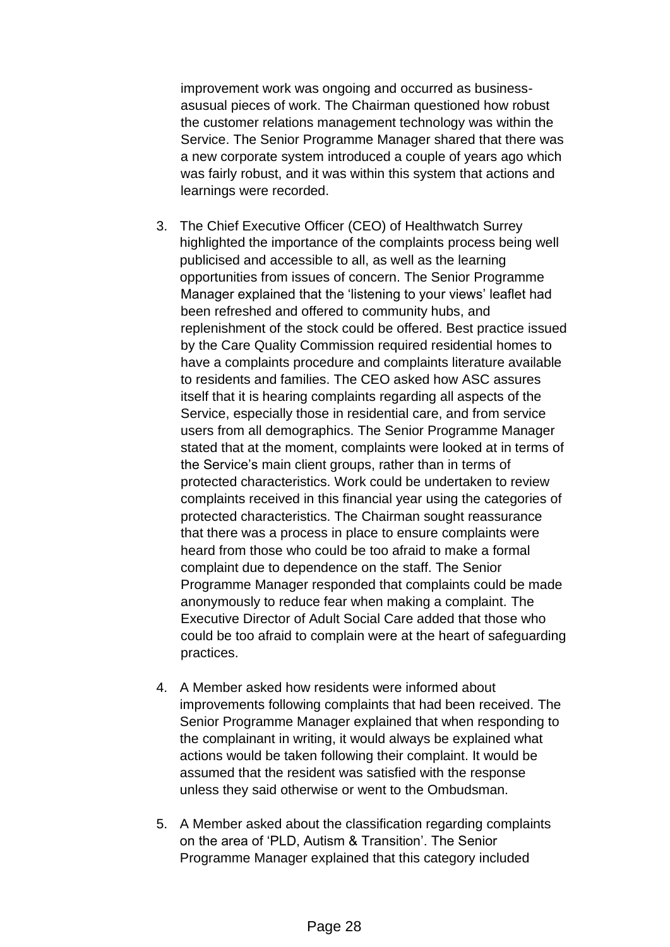improvement work was ongoing and occurred as businessasusual pieces of work. The Chairman questioned how robust the customer relations management technology was within the Service. The Senior Programme Manager shared that there was a new corporate system introduced a couple of years ago which was fairly robust, and it was within this system that actions and learnings were recorded.

- 3. The Chief Executive Officer (CEO) of Healthwatch Surrey highlighted the importance of the complaints process being well publicised and accessible to all, as well as the learning opportunities from issues of concern. The Senior Programme Manager explained that the 'listening to your views' leaflet had been refreshed and offered to community hubs, and replenishment of the stock could be offered. Best practice issued by the Care Quality Commission required residential homes to have a complaints procedure and complaints literature available to residents and families. The CEO asked how ASC assures itself that it is hearing complaints regarding all aspects of the Service, especially those in residential care, and from service users from all demographics. The Senior Programme Manager stated that at the moment, complaints were looked at in terms of the Service's main client groups, rather than in terms of protected characteristics. Work could be undertaken to review complaints received in this financial year using the categories of protected characteristics. The Chairman sought reassurance that there was a process in place to ensure complaints were heard from those who could be too afraid to make a formal complaint due to dependence on the staff. The Senior Programme Manager responded that complaints could be made anonymously to reduce fear when making a complaint. The Executive Director of Adult Social Care added that those who could be too afraid to complain were at the heart of safeguarding practices.
- 4. A Member asked how residents were informed about improvements following complaints that had been received. The Senior Programme Manager explained that when responding to the complainant in writing, it would always be explained what actions would be taken following their complaint. It would be assumed that the resident was satisfied with the response unless they said otherwise or went to the Ombudsman.
- 5. A Member asked about the classification regarding complaints on the area of 'PLD, Autism & Transition'. The Senior Programme Manager explained that this category included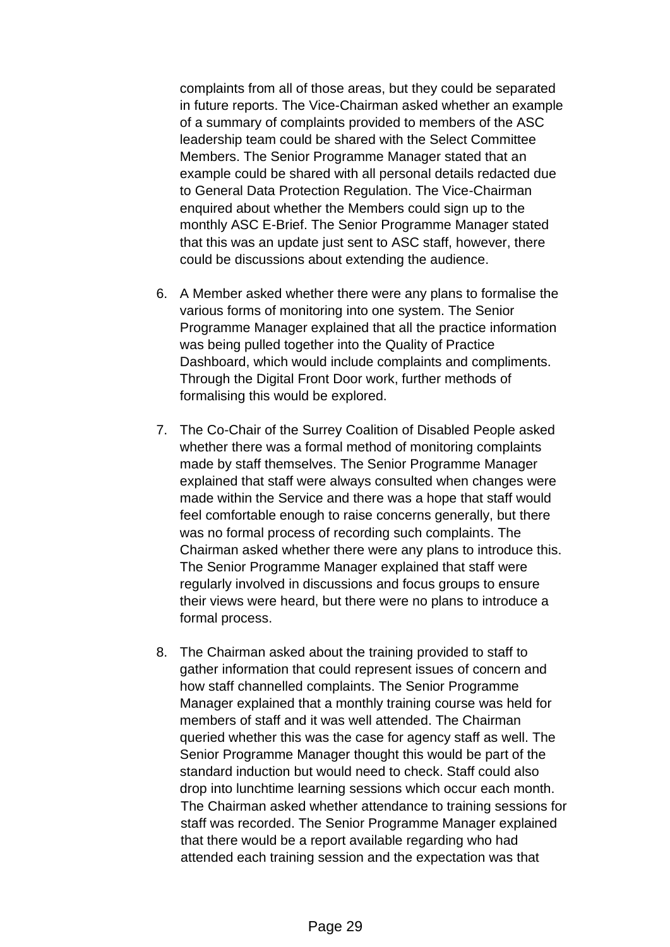complaints from all of those areas, but they could be separated in future reports. The Vice-Chairman asked whether an example of a summary of complaints provided to members of the ASC leadership team could be shared with the Select Committee Members. The Senior Programme Manager stated that an example could be shared with all personal details redacted due to General Data Protection Regulation. The Vice-Chairman enquired about whether the Members could sign up to the monthly ASC E-Brief. The Senior Programme Manager stated that this was an update just sent to ASC staff, however, there could be discussions about extending the audience.

- 6. A Member asked whether there were any plans to formalise the various forms of monitoring into one system. The Senior Programme Manager explained that all the practice information was being pulled together into the Quality of Practice Dashboard, which would include complaints and compliments. Through the Digital Front Door work, further methods of formalising this would be explored.
- 7. The Co-Chair of the Surrey Coalition of Disabled People asked whether there was a formal method of monitoring complaints made by staff themselves. The Senior Programme Manager explained that staff were always consulted when changes were made within the Service and there was a hope that staff would feel comfortable enough to raise concerns generally, but there was no formal process of recording such complaints. The Chairman asked whether there were any plans to introduce this. The Senior Programme Manager explained that staff were regularly involved in discussions and focus groups to ensure their views were heard, but there were no plans to introduce a formal process.
- 8. The Chairman asked about the training provided to staff to gather information that could represent issues of concern and how staff channelled complaints. The Senior Programme Manager explained that a monthly training course was held for members of staff and it was well attended. The Chairman queried whether this was the case for agency staff as well. The Senior Programme Manager thought this would be part of the standard induction but would need to check. Staff could also drop into lunchtime learning sessions which occur each month. The Chairman asked whether attendance to training sessions for staff was recorded. The Senior Programme Manager explained that there would be a report available regarding who had attended each training session and the expectation was that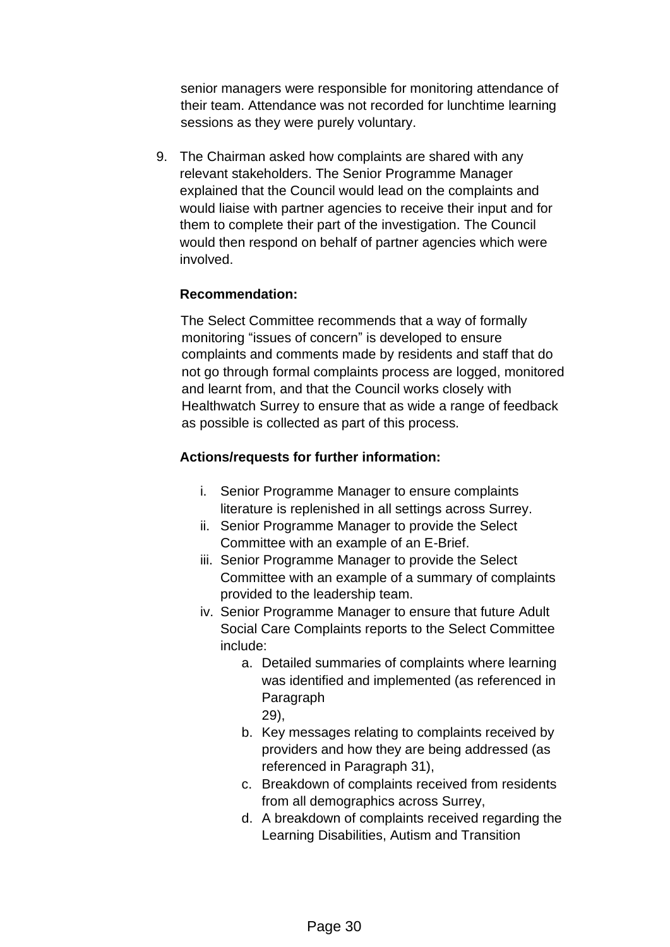senior managers were responsible for monitoring attendance of their team. Attendance was not recorded for lunchtime learning sessions as they were purely voluntary.

9. The Chairman asked how complaints are shared with any relevant stakeholders. The Senior Programme Manager explained that the Council would lead on the complaints and would liaise with partner agencies to receive their input and for them to complete their part of the investigation. The Council would then respond on behalf of partner agencies which were involved.

# **Recommendation:**

The Select Committee recommends that a way of formally monitoring "issues of concern" is developed to ensure complaints and comments made by residents and staff that do not go through formal complaints process are logged, monitored and learnt from, and that the Council works closely with Healthwatch Surrey to ensure that as wide a range of feedback as possible is collected as part of this process.

### **Actions/requests for further information:**

- i. Senior Programme Manager to ensure complaints literature is replenished in all settings across Surrey.
- ii. Senior Programme Manager to provide the Select Committee with an example of an E-Brief.
- iii. Senior Programme Manager to provide the Select Committee with an example of a summary of complaints provided to the leadership team.
- iv. Senior Programme Manager to ensure that future Adult Social Care Complaints reports to the Select Committee include:
	- a. Detailed summaries of complaints where learning was identified and implemented (as referenced in Paragraph 29),
	- b. Key messages relating to complaints received by providers and how they are being addressed (as referenced in Paragraph 31),
	- c. Breakdown of complaints received from residents from all demographics across Surrey,
	- d. A breakdown of complaints received regarding the Learning Disabilities, Autism and Transition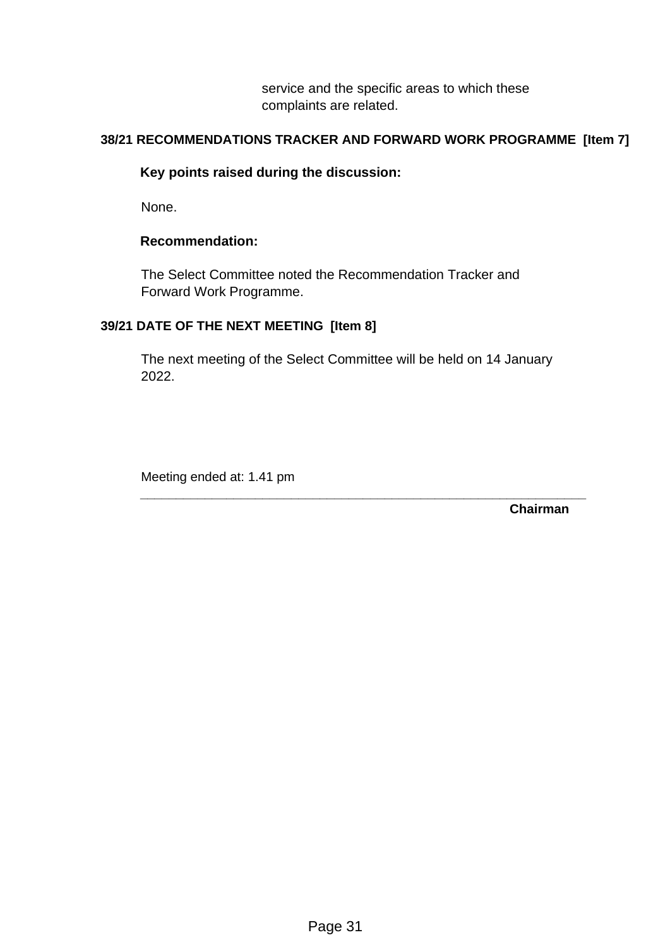service and the specific areas to which these complaints are related.

## **38/21 RECOMMENDATIONS TRACKER AND FORWARD WORK PROGRAMME [Item 7]**

### **Key points raised during the discussion:**

None.

#### **Recommendation:**

The Select Committee noted the Recommendation Tracker and Forward Work Programme.

### **39/21 DATE OF THE NEXT MEETING [Item 8]**

The next meeting of the Select Committee will be held on 14 January 2022.

**\_\_\_\_\_\_\_\_\_\_\_\_\_\_\_\_\_\_\_\_\_\_\_\_\_\_\_\_\_\_\_\_\_\_\_\_\_\_\_\_\_\_\_\_\_\_\_\_\_\_\_\_\_\_\_\_\_\_\_\_\_\_** 

Meeting ended at: 1.41 pm

**Chairman**